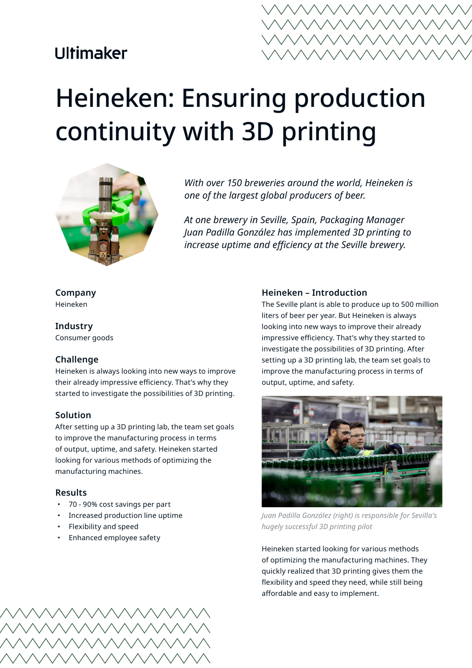## **Ultimaker**



# Heineken: Ensuring production continuity with 3D printing



*With over 150 breweries around the world, Heineken is one of the largest global producers of beer.*

*At one brewery in Seville, Spain, Packaging Manager Juan Padilla González has implemented 3D printing to increase uptime and efficiency at the Seville brewery.*

#### **Company** Heineken

**Industry**

Consumer goods

## **Challenge**

Heineken is always looking into new ways to improve their already impressive efficiency. That's why they started to investigate the possibilities of 3D printing.

## **Solution**

After setting up a 3D printing lab, the team set goals to improve the manufacturing process in terms of output, uptime, and safety. Heineken started looking for various methods of optimizing the manufacturing machines.

## **Results**

- 70 90% cost savings per part
- Increased production line uptime
- Flexibility and speed
- Enhanced employee safety

#### **Heineken – Introduction**

The Seville plant is able to produce up to 500 million liters of beer per year. But Heineken is always looking into new ways to improve their already impressive efficiency. That's why they started to investigate the possibilities of 3D printing. After setting up a 3D printing lab, the team set goals to improve the manufacturing process in terms of output, uptime, and safety.



*Juan Padilla González (right) is responsible for Sevilla's hugely successful 3D printing pilot*

Heineken started looking for various methods of optimizing the manufacturing machines. They quickly realized that 3D printing gives them the flexibility and speed they need, while still being affordable and easy to implement.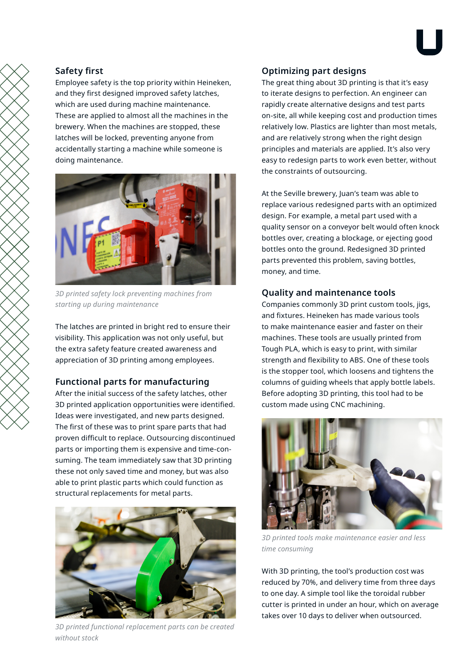## **Safety first**

Employee safety is the top priority within Heineken, and they first designed improved safety latches, which are used during machine maintenance. These are applied to almost all the machines in the brewery. When the machines are stopped, these latches will be locked, preventing anyone from accidentally starting a machine while someone is doing maintenance.



*3D printed safety lock preventing machines from starting up during maintenance*

The latches are printed in bright red to ensure their visibility. This application was not only useful, but the extra safety feature created awareness and appreciation of 3D printing among employees.

## **Functional parts for manufacturing**

After the initial success of the safety latches, other 3D printed application opportunities were identified. Ideas were investigated, and new parts designed. The first of these was to print spare parts that had proven difficult to replace. Outsourcing discontinued parts or importing them is expensive and time-consuming. The team immediately saw that 3D printing these not only saved time and money, but was also able to print plastic parts which could function as structural replacements for metal parts.



*3D printed functional replacement parts can be created without stock*

## **Optimizing part designs**

The great thing about 3D printing is that it's easy to iterate designs to perfection. An engineer can rapidly create alternative designs and test parts on-site, all while keeping cost and production times relatively low. Plastics are lighter than most metals, and are relatively strong when the right design principles and materials are applied. It's also very easy to redesign parts to work even better, without the constraints of outsourcing.

At the Seville brewery, Juan's team was able to replace various redesigned parts with an optimized design. For example, a metal part used with a quality sensor on a conveyor belt would often knock bottles over, creating a blockage, or ejecting good bottles onto the ground. Redesigned 3D printed parts prevented this problem, saving bottles, money, and time.

## **Quality and maintenance tools**

Companies commonly 3D print custom tools, jigs, and fixtures. Heineken has made various tools to make maintenance easier and faster on their machines. These tools are usually printed from Tough PLA, which is easy to print, with similar strength and flexibility to ABS. One of these tools is the stopper tool, which loosens and tightens the columns of guiding wheels that apply bottle labels. Before adopting 3D printing, this tool had to be custom made using CNC machining.



*3D printed tools make maintenance easier and less time consuming*

With 3D printing, the tool's production cost was reduced by 70%, and delivery time from three days to one day. A simple tool like the toroidal rubber cutter is printed in under an hour, which on average takes over 10 days to deliver when outsourced.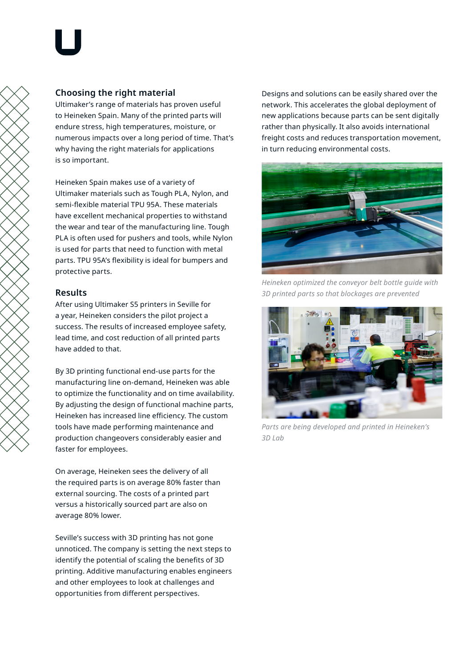## **Choosing the right material**

Ultimaker's range of materials has proven useful to Heineken Spain. Many of the printed parts will endure stress, high temperatures, moisture, or numerous impacts over a long period of time. That's why having the right materials for applications is so important.

Heineken Spain makes use of a variety of Ultimaker materials such as Tough PLA, Nylon, and semi-flexible material TPU 95A. These materials have excellent mechanical properties to withstand the wear and tear of the manufacturing line. Tough PLA is often used for pushers and tools, while Nylon is used for parts that need to function with metal parts. TPU 95A's flexibility is ideal for bumpers and protective parts.

## **Results**

After using Ultimaker S5 printers in Seville for a year, Heineken considers the pilot project a success. The results of increased employee safety, lead time, and cost reduction of all printed parts have added to that.

By 3D printing functional end-use parts for the manufacturing line on-demand, Heineken was able to optimize the functionality and on time availability. By adjusting the design of functional machine parts, Heineken has increased line efficiency. The custom tools have made performing maintenance and production changeovers considerably easier and faster for employees.

On average, Heineken sees the delivery of all the required parts is on average 80% faster than external sourcing. The costs of a printed part versus a historically sourced part are also on average 80% lower.

Seville's success with 3D printing has not gone unnoticed. The company is setting the next steps to identify the potential of scaling the benefits of 3D printing. Additive manufacturing enables engineers and other employees to look at challenges and opportunities from different perspectives.

Designs and solutions can be easily shared over the network. This accelerates the global deployment of new applications because parts can be sent digitally rather than physically. It also avoids international freight costs and reduces transportation movement, in turn reducing environmental costs.



*Heineken optimized the conveyor belt bottle guide with 3D printed parts so that blockages are prevented*



*Parts are being developed and printed in Heineken's 3D Lab*